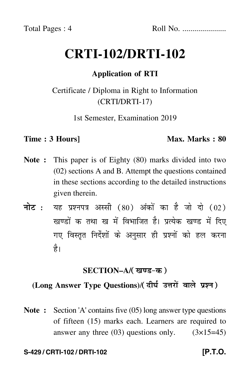# **CRTI-102/DRTI-102**

# **Application of RTI**

# Certificate / Diploma in Right to Information (CRTI/DRTI-17)

1st Semester, Examination 2019

### **Time : 3 Hours]** Max. Marks : 80

- **Note :** This paper is of Eighty (80) marks divided into two (02) sections A and B. Attempt the questions contained in these sections according to the detailed instructions given therein.
- नोट : यह प्रश्नपत्र अस्सी (80) अंकों का है जो दो (02) खण्डों क तथा ख में विभाजित है। प्रत्येक खण्ड में दिए गए विस्तृत निर्देशों के अनुसार ही प्रश्नों को हल करन<mark>ा</mark> है।

# <u>SECTION–A</u>/( खण्ड-क )

# **(Long Answer Type Questions)**/

**Note :** Section 'A' contains five (05) long answer type questions of fifteen (15) marks each. Learners are required to answer any three  $(03)$  questions only.  $(3\times15=45)$ 

### **S-429 / CRTI-102 / DRTI-102 [P.T.O.**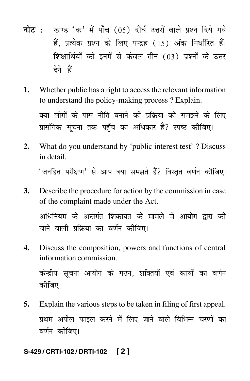- <mark>नोट</mark> : खण्ड 'क' में पाँच (05) दीर्घ उत्तरों वाले प्रश्न दिये गये हैं, प्रत्येक प्रश्न के लिए पन्द्रह (15) अंक निर्धारित हैं। शिक्षार्थियों को इनमें से केवल तीन (03) प्रश्नों के उत्तर देने हैं।
- **1.** Whether public has a right to access the relevant information to understand the policy-making process ? Explain. क्या लोगों के पास नीति बनाने की प्रक्रिया को समझने के लिए प्रासंगिक सूचना तक पहुँच का अधिकार है? स्पष्ट कीजिए।
- **2.** What do you understand by 'public interest test' ? Discuss in detail. 'जनहित परीक्षण' से आप क्या समझते हैं? विस्तृत वर्णन कीजिए।
- **3.** Describe the procedure for action by the commission in case of the complaint made under the Act. अधिनियम के अन्तर्गत शिकायत के मामले में आयोग द्वारा की जाने वाली प्रक्रिया का वर्णन कीजिए।
- **4.** Discuss the composition, powers and functions of central information commission.

केन्द्रीय सूचना आयोग के गठन, शक्तियों एवं कार्यों का वर्णन कीजिए।

**5.** Explain the various steps to be taken in filing of first appeal. प्रथम अपील फाइल करने में लिए जाने वाले विभिन्न चरणों का वर्णन कीजिए।

### **S-429 / CRTI-102 / DRTI-102 [ 2 ]**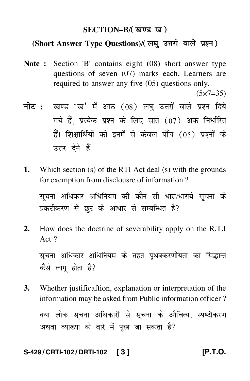# SECTION–B/( खण्ड-ख )

# **(Short Answer Type Questions)**/

**Note :** Section 'B' contains eight (08) short answer type questions of seven (07) marks each. Learners are required to answer any five (05) questions only.

 $(5 \times 7 = 35)$ 

- <mark>नोट</mark> : खण्ड 'ख' में आठ (08) लघु उत्तरों वाले प्रश्न दिये गये हैं, प्रत्येक प्रश्न के लिए सात (07) अंक निर्धारित हैं। शिक्षार्थियों को इनमें से केवल पाँच (05) प्रश्नों के उत्तर देने हैं।
- **1.** Which section (s) of the RTI Act deal (s) with the grounds for exemption from disclousre of information ?

सूचना अधिकार अधिनियम की कौन सी धारा/धारायें सूचना के प्रकटीकरण से छुट के आधार से सम्बन्धित हैं?

**2.** How does the doctrine of severability apply on the R.T.I Act ?

सूचना अधिकार अधिनियम के तहत पृथक्करणीयता का सिद्धान्त कैसे लाग होता है?

**3.** Whether justificaftion, explanation or interpretation of the information may be asked from Public information officer ? क्या लोक सूचना अधिकारी से सूचना के औचित्य, स्पष्टीकरण अथवा व्याख्या के बारे में पूछा जा सकता है?

### **S-429 / CRTI-102 / DRTI-102 [ 3 ] [P.T.O.**